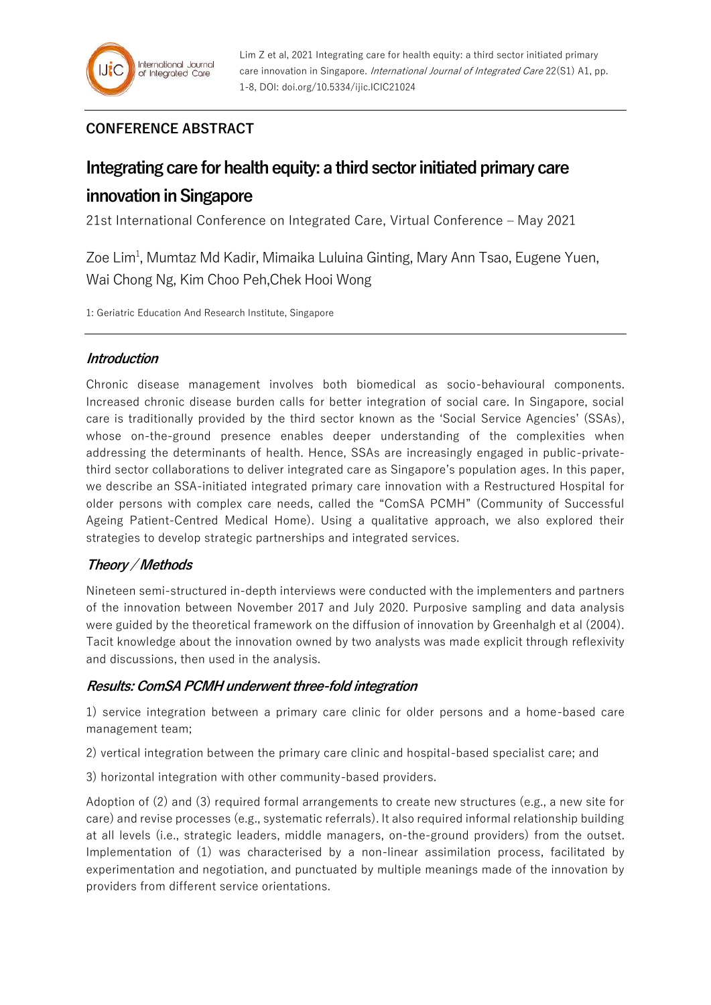## **CONFERENCE ABSTRACT**

# **Integrating care for health equity: a third sector initiated primary care**

## **innovation in Singapore**

21st International Conference on Integrated Care, Virtual Conference – May 2021

Zoe Lim<sup>1</sup>, Mumtaz Md Kadir, Mimaika Luluina Ginting, Mary Ann Tsao, Eugene Yuen, Wai Chong Ng, Kim Choo Peh,Chek Hooi Wong

1: Geriatric Education And Research Institute, Singapore

### **Introduction**

Chronic disease management involves both biomedical as socio-behavioural components. Increased chronic disease burden calls for better integration of social care. In Singapore, social care is traditionally provided by the third sector known as the 'Social Service Agencies' (SSAs), whose on-the-ground presence enables deeper understanding of the complexities when addressing the determinants of health. Hence, SSAs are increasingly engaged in public-privatethird sector collaborations to deliver integrated care as Singapore's population ages. In this paper, we describe an SSA-initiated integrated primary care innovation with a Restructured Hospital for older persons with complex care needs, called the "ComSA PCMH" (Community of Successful Ageing Patient-Centred Medical Home). Using a qualitative approach, we also explored their strategies to develop strategic partnerships and integrated services.

## **Theory / Methods**

Nineteen semi-structured in-depth interviews were conducted with the implementers and partners of the innovation between November 2017 and July 2020. Purposive sampling and data analysis were guided by the theoretical framework on the diffusion of innovation by Greenhalgh et al (2004). Tacit knowledge about the innovation owned by two analysts was made explicit through reflexivity and discussions, then used in the analysis.

### **Results: ComSA PCMH underwent three-fold integration**

1) service integration between a primary care clinic for older persons and a home-based care management team;

2) vertical integration between the primary care clinic and hospital-based specialist care; and

3) horizontal integration with other community-based providers.

Adoption of (2) and (3) required formal arrangements to create new structures (e.g., a new site for care) and revise processes (e.g., systematic referrals). It also required informal relationship building at all levels (i.e., strategic leaders, middle managers, on-the-ground providers) from the outset. Implementation of (1) was characterised by a non-linear assimilation process, facilitated by experimentation and negotiation, and punctuated by multiple meanings made of the innovation by providers from different service orientations.